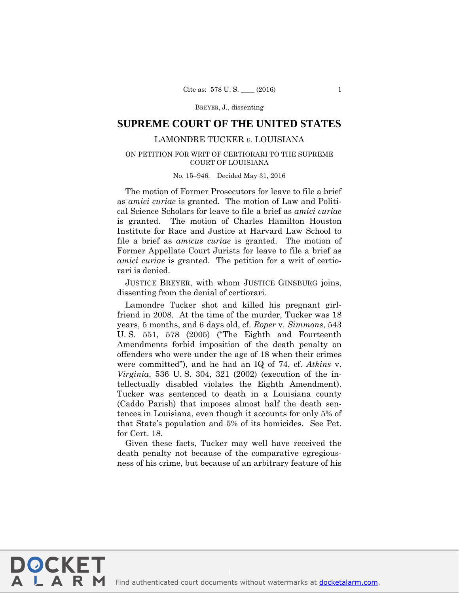BREYER, J., dissenting

# **SUPREME COURT OF THE UNITED STATES**

## LAMONDRE TUCKER *v.* LOUISIANA

## ON PETITION FOR WRIT OF CERTIORARI TO THE SUPREME COURT OF LOUISIANA

#### No. 15–946. Decided May 31, 2016

The motion of Former Prosecutors for leave to file a brief as *amici curiae* is granted. The motion of Law and Political Science Scholars for leave to file a brief as *amici curiae*  is granted. The motion of Charles Hamilton Houston Institute for Race and Justice at Harvard Law School to file a brief as *amicus curiae* is granted. The motion of Former Appellate Court Jurists for leave to file a brief as *amici curiae* is granted. The petition for a writ of certiorari is denied.

JUSTICE BREYER, with whom JUSTICE GINSBURG joins, dissenting from the denial of certiorari.

Lamondre Tucker shot and killed his pregnant girlfriend in 2008. At the time of the murder, Tucker was 18 years, 5 months, and 6 days old, cf. *Roper* v. *Simmons*, 543 U. S. 551, 578 (2005) ("The Eighth and Fourteenth Amendments forbid imposition of the death penalty on offenders who were under the age of 18 when their crimes were committed"), and he had an IQ of 74, cf. *Atkins* v. *Virginia*, 536 U. S. 304, 321 (2002) (execution of the intellectually disabled violates the Eighth Amendment). Tucker was sentenced to death in a Louisiana county (Caddo Parish) that imposes almost half the death sentences in Louisiana, even though it accounts for only 5% of that State's population and 5% of its homicides. See Pet. for Cert. 18.

Given these facts, Tucker may well have received the death penalty not because of the comparative egregiousness of his crime, but because of an arbitrary feature of his

**DOCKET** 

LARM

Find authenticated [court documents without watermarks](https://www.docketalarm.com/) at docketalarm.com.